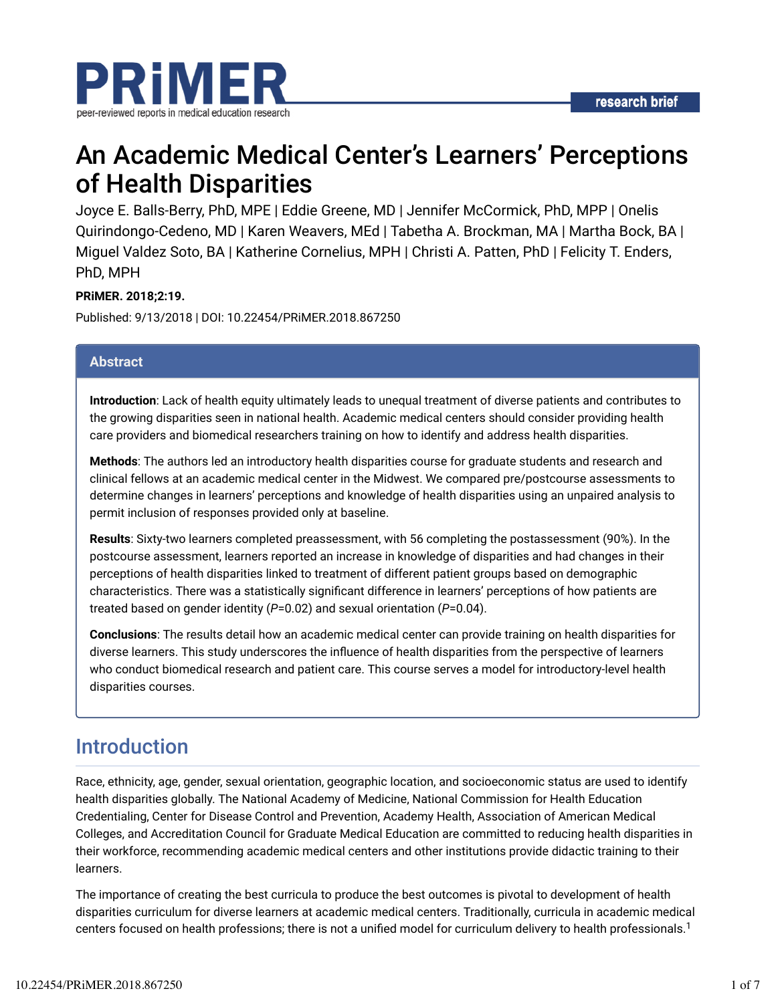

# An Academic Medical Center's Learners' Perceptions of Health Disparities

Joyce E. Balls-Berry, PhD, MPE | Eddie Greene, MD | Jennifer McCormick, PhD, MPP | Onelis Quirindongo-Cedeno, MD | Karen Weavers, MEd | Tabetha A. Brockman, MA | Martha Bock, BA | Miguel Valdez Soto, BA | Katherine Cornelius, MPH | Christi A. Patten, PhD | Felicity T. Enders, PhD, MPH

### **PRiMER. 2018;2:19.**

Published: 9/13/2018 | DOI: 10.22454/PRiMER.2018.867250

### **Abstract**

**Introduction**: Lack of health equity ultimately leads to unequal treatment of diverse patients and contributes to the growing disparities seen in national health. Academic medical centers should consider providing health care providers and biomedical researchers training on how to identify and address health disparities.

**Methods**: The authors led an introductory health disparities course for graduate students and research and clinical fellows at an academic medical center in the Midwest. We compared pre/postcourse assessments to determine changes in learners' perceptions and knowledge of health disparities using an unpaired analysis to permit inclusion of responses provided only at baseline.

**Results**: Sixty-two learners completed preassessment, with 56 completing the postassessment (90%). In the postcourse assessment, learners reported an increase in knowledge of disparities and had changes in their perceptions of health disparities linked to treatment of different patient groups based on demographic characteristics. There was a statistically significant difference in learners' perceptions of how patients are treated based on gender identity (*P*=0.02) and sexual orientation (*P*=0.04).

**Conclusions**: The results detail how an academic medical center can provide training on health disparities for diverse learners. This study underscores the infuence of health disparities from the perspective of learners who conduct biomedical research and patient care. This course serves a model for introductory-level health disparities courses.

### Introduction

Race, ethnicity, age, gender, sexual orientation, geographic location, and socioeconomic status are used to identify health disparities globally. The National Academy of Medicine, National Commission for Health Education Credentialing, Center for Disease Control and Prevention, Academy Health, Association of American Medical Colleges, and Accreditation Council for Graduate Medical Education are committed to reducing health disparities in their workforce, recommending academic medical centers and other institutions provide didactic training to their learners.

The importance of creating the best curricula to produce the best outcomes is pivotal to development of health disparities curriculum for diverse learners at academic medical centers. Traditionally, curricula in academic medical centers focused on health professions; there is not a unified model for curriculum delivery to health professionals.<sup>1</sup>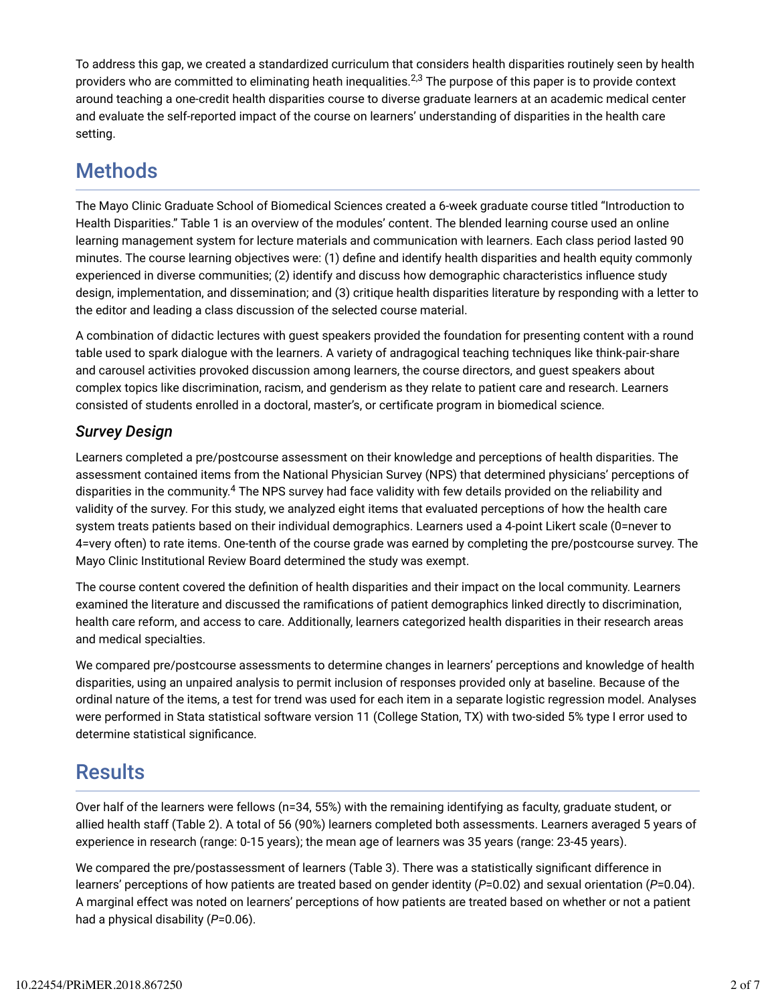To address this gap, we created a standardized curriculum that considers health disparities routinely seen by health providers who are committed to eliminating heath inequalities. $^{2,3}$  The purpose of this paper is to provide context around teaching a one-credit health disparities course to diverse graduate learners at an academic medical center and evaluate the self-reported impact of the course on learners' understanding of disparities in the health care setting.

## **Methods**

The Mayo Clinic Graduate School of Biomedical Sciences created a 6-week graduate course titled "Introduction to Health Disparities." Table 1 is an overview of the modules' content. The blended learning course used an online learning management system for lecture materials and communication with learners. Each class period lasted 90 minutes. The course learning objectives were: (1) define and identify health disparities and health equity commonly experienced in diverse communities; (2) identify and discuss how demographic characteristics infuence study design, implementation, and dissemination; and (3) critique health disparities literature by responding with a letter to the editor and leading a class discussion of the selected course material.

A combination of didactic lectures with guest speakers provided the foundation for presenting content with a round table used to spark dialogue with the learners. A variety of andragogical teaching techniques like think-pair-share and carousel activities provoked discussion among learners, the course directors, and guest speakers about complex topics like discrimination, racism, and genderism as they relate to patient care and research. Learners consisted of students enrolled in a doctoral, master's, or certidcate program in biomedical science.

### *Survey Design*

Learners completed a pre/postcourse assessment on their knowledge and perceptions of health disparities. The assessment contained items from the National Physician Survey (NPS) that determined physicians' perceptions of disparities in the community.<sup>4</sup> The NPS survey had face validity with few details provided on the reliability and validity of the survey. For this study, we analyzed eight items that evaluated perceptions of how the health care system treats patients based on their individual demographics. Learners used a 4-point Likert scale (0=never to 4=very often) to rate items. One-tenth of the course grade was earned by completing the pre/postcourse survey. The Mayo Clinic Institutional Review Board determined the study was exempt.

The course content covered the dednition of health disparities and their impact on the local community. Learners examined the literature and discussed the ramidcations of patient demographics linked directly to discrimination, health care reform, and access to care. Additionally, learners categorized health disparities in their research areas and medical specialties.

We compared pre/postcourse assessments to determine changes in learners' perceptions and knowledge of health disparities, using an unpaired analysis to permit inclusion of responses provided only at baseline. Because of the ordinal nature of the items, a test for trend was used for each item in a separate logistic regression model. Analyses were performed in Stata statistical software version 11 (College Station, TX) with two-sided 5% type I error used to determine statistical significance.

## **Results**

Over half of the learners were fellows (n=34, 55%) with the remaining identifying as faculty, graduate student, or allied health staff (Table 2). A total of 56 (90%) learners completed both assessments. Learners averaged 5 years of experience in research (range: 0-15 years); the mean age of learners was 35 years (range: 23-45 years).

We compared the pre/postassessment of learners (Table 3). There was a statistically significant difference in learners' perceptions of how patients are treated based on gender identity (*P*=0.02) and sexual orientation (*P*=0.04). A marginal effect was noted on learners' perceptions of how patients are treated based on whether or not a patient had a physical disability (*P*=0.06).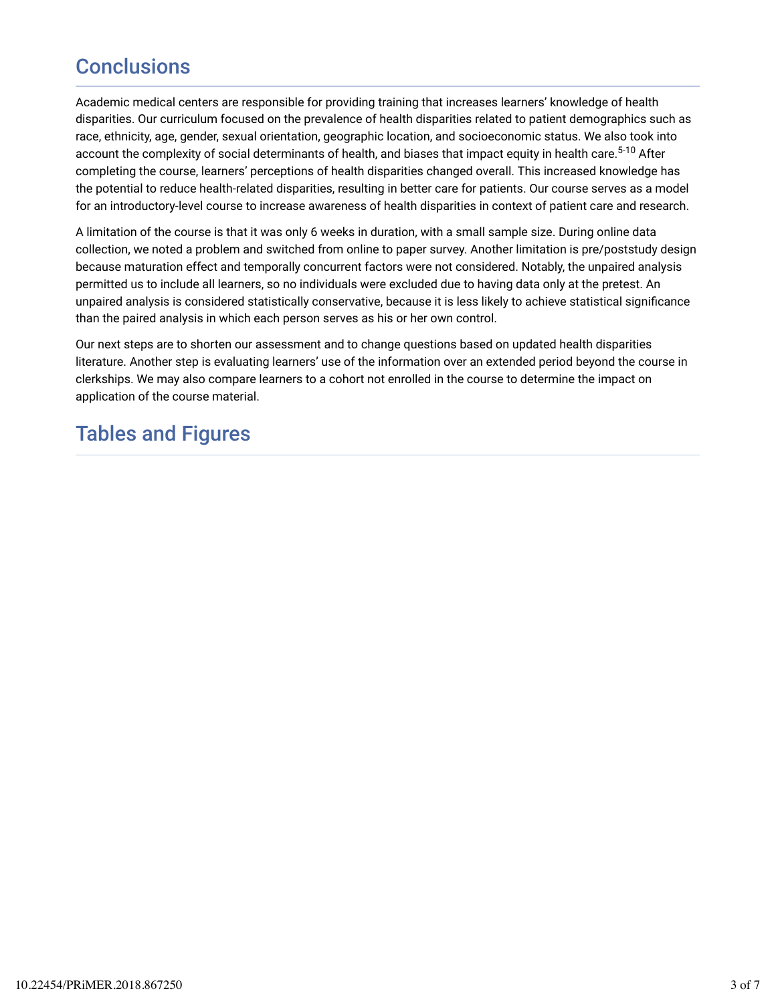# **Conclusions**

Academic medical centers are responsible for providing training that increases learners' knowledge of health disparities. Our curriculum focused on the prevalence of health disparities related to patient demographics such as race, ethnicity, age, gender, sexual orientation, geographic location, and socioeconomic status. We also took into account the complexity of social determinants of health, and biases that impact equity in health care.<sup>5-10</sup> After completing the course, learners' perceptions of health disparities changed overall. This increased knowledge has the potential to reduce health-related disparities, resulting in better care for patients. Our course serves as a model for an introductory-level course to increase awareness of health disparities in context of patient care and research.

A limitation of the course is that it was only 6 weeks in duration, with a small sample size. During online data collection, we noted a problem and switched from online to paper survey. Another limitation is pre/poststudy design because maturation effect and temporally concurrent factors were not considered. Notably, the unpaired analysis permitted us to include all learners, so no individuals were excluded due to having data only at the pretest. An unpaired analysis is considered statistically conservative, because it is less likely to achieve statistical signidcance than the paired analysis in which each person serves as his or her own control.

Our next steps are to shorten our assessment and to change questions based on updated health disparities literature. Another step is evaluating learners' use of the information over an extended period beyond the course in clerkships. We may also compare learners to a cohort not enrolled in the course to determine the impact on application of the course material.

## Tables and Figures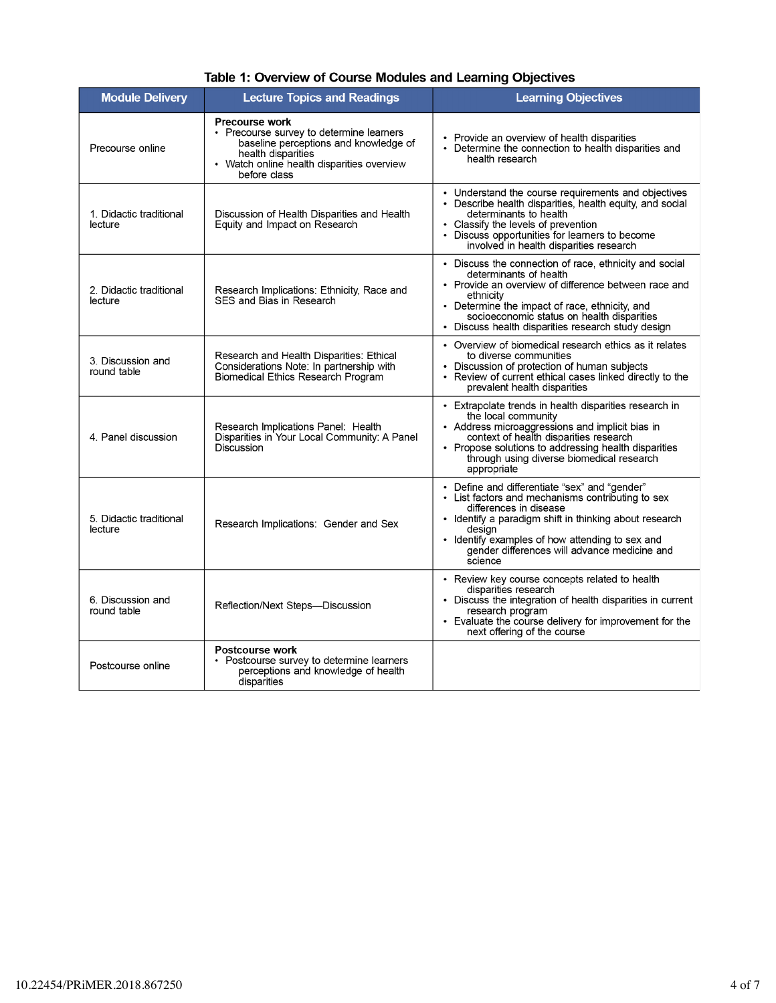| Table 1: Overview of Course Modules and Learning Objectives |  |
|-------------------------------------------------------------|--|
|-------------------------------------------------------------|--|

| <b>Module Delivery</b>             | <b>Lecture Topics and Readings</b>                                                                                                                                                             | <b>Learning Objectives</b>                                                                                                                                                                                                                                                                                     |
|------------------------------------|------------------------------------------------------------------------------------------------------------------------------------------------------------------------------------------------|----------------------------------------------------------------------------------------------------------------------------------------------------------------------------------------------------------------------------------------------------------------------------------------------------------------|
| Precourse online                   | <b>Precourse work</b><br>• Precourse survey to determine learners<br>baseline perceptions and knowledge of<br>health disparities<br>• Watch online health disparities overview<br>before class | • Provide an overview of health disparities<br>Determine the connection to health disparities and<br>health research                                                                                                                                                                                           |
| 1. Didactic traditional<br>lecture | Discussion of Health Disparities and Health<br>Equity and Impact on Research                                                                                                                   | • Understand the course requirements and objectives<br>• Describe health disparities, health equity, and social<br>determinants to health<br>Classify the levels of prevention<br>Discuss opportunities for learners to become<br>involved in health disparities research                                      |
| 2. Didactic traditional<br>lecture | Research Implications: Ethnicity, Race and<br>SES and Bias in Research                                                                                                                         | • Discuss the connection of race, ethnicity and social<br>determinants of health<br>• Provide an overview of difference between race and<br>ethnicity<br>• Determine the impact of race, ethnicity, and<br>socioeconomic status on health disparities<br>• Discuss health disparities research study design    |
| 3. Discussion and<br>round table   | Research and Health Disparities: Ethical<br>Considerations Note: In partnership with<br><b>Biomedical Ethics Research Program</b>                                                              | • Overview of biomedical research ethics as it relates<br>to diverse communities<br>Discussion of protection of human subjects<br>• Review of current ethical cases linked directly to the<br>prevalent health disparities                                                                                     |
| 4. Panel discussion                | Research Implications Panel: Health<br>Disparities in Your Local Community: A Panel<br>Discussion                                                                                              | • Extrapolate trends in health disparities research in<br>the local community<br>• Address microaggressions and implicit bias in<br>context of health disparities research<br>• Propose solutions to addressing health disparities<br>through using diverse biomedical research<br>appropriate                 |
| 5. Didactic traditional<br>lecture | Research Implications: Gender and Sex                                                                                                                                                          | • Define and differentiate "sex" and "gender"<br>• List factors and mechanisms contributing to sex<br>differences in disease<br>• Identify a paradigm shift in thinking about research<br>desian<br>• Identify examples of how attending to sex and<br>gender differences will advance medicine and<br>science |
| 6. Discussion and<br>round table   | Reflection/Next Steps--Discussion                                                                                                                                                              | • Review key course concepts related to health<br>disparities research<br>• Discuss the integration of health disparities in current<br>research program<br>• Evaluate the course delivery for improvement for the<br>next offering of the course                                                              |
| Postcourse online                  | Postcourse work<br>Postcourse survey to determine learners<br>perceptions and knowledge of health<br>disparities                                                                               |                                                                                                                                                                                                                                                                                                                |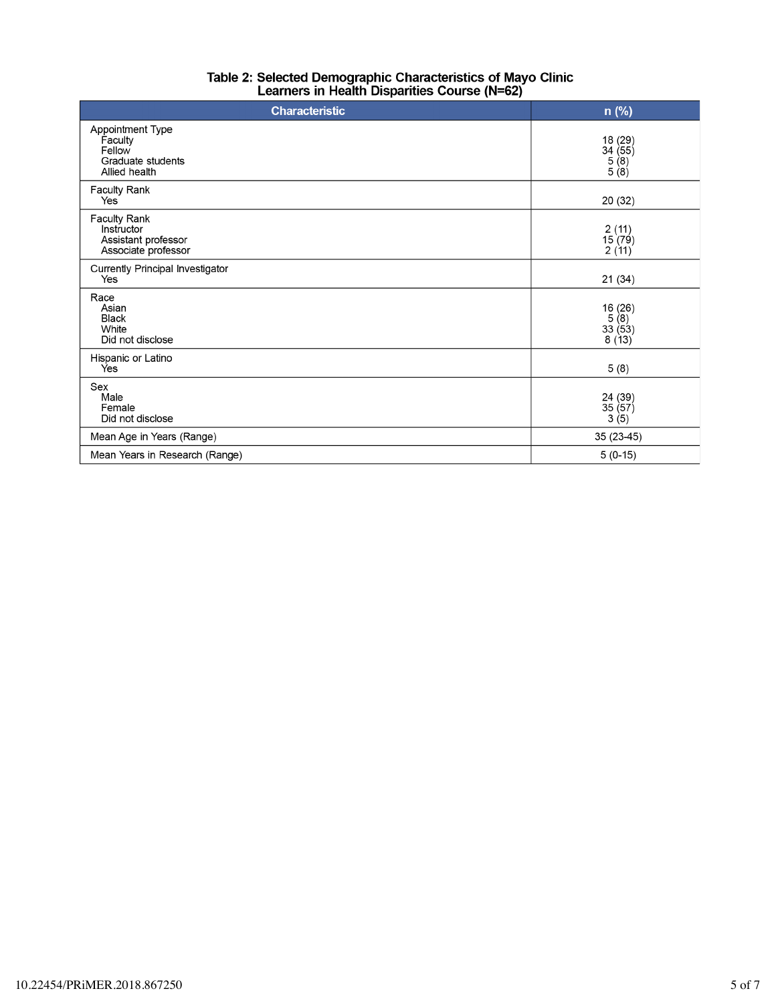| Table 2: Selected Demographic Characteristics of Mayo Clinic |
|--------------------------------------------------------------|
| Learners in Health Disparities Course (N=62)                 |

| <b>Characteristic</b>                                                       | $n$ (%)                                                           |  |  |
|-----------------------------------------------------------------------------|-------------------------------------------------------------------|--|--|
| Appointment Type<br>Faculty<br>Fellow<br>Graduate students<br>Allied health | 18 (29)<br>34 (55)<br>5 (8)<br>5 (8)                              |  |  |
| Faculty Rank<br>Yes                                                         | 20 (32)                                                           |  |  |
| Faculty Rank<br>Instructor<br>Assistant professor<br>Associate professor    | 2(11)<br>15(79)<br>2(11)                                          |  |  |
| Currently Principal Investigator<br>Yes                                     | 21(34)                                                            |  |  |
| Race<br>Asian<br><b>Black</b><br>White<br>Did not disclose                  | 16 (26)<br>$\begin{array}{c} 5(8) \\ 33(53) \end{array}$<br>8(13) |  |  |
| Hispanic or Latino<br>Ýes                                                   | 5(8)                                                              |  |  |
| Sex<br>Male<br>Female<br>Did not disclose                                   | 24 (39)<br>35 (57)<br>3(5)                                        |  |  |
| Mean Age in Years (Range)                                                   | 35 (23-45)                                                        |  |  |
| Mean Years in Research (Range)                                              | $5(0-15)$                                                         |  |  |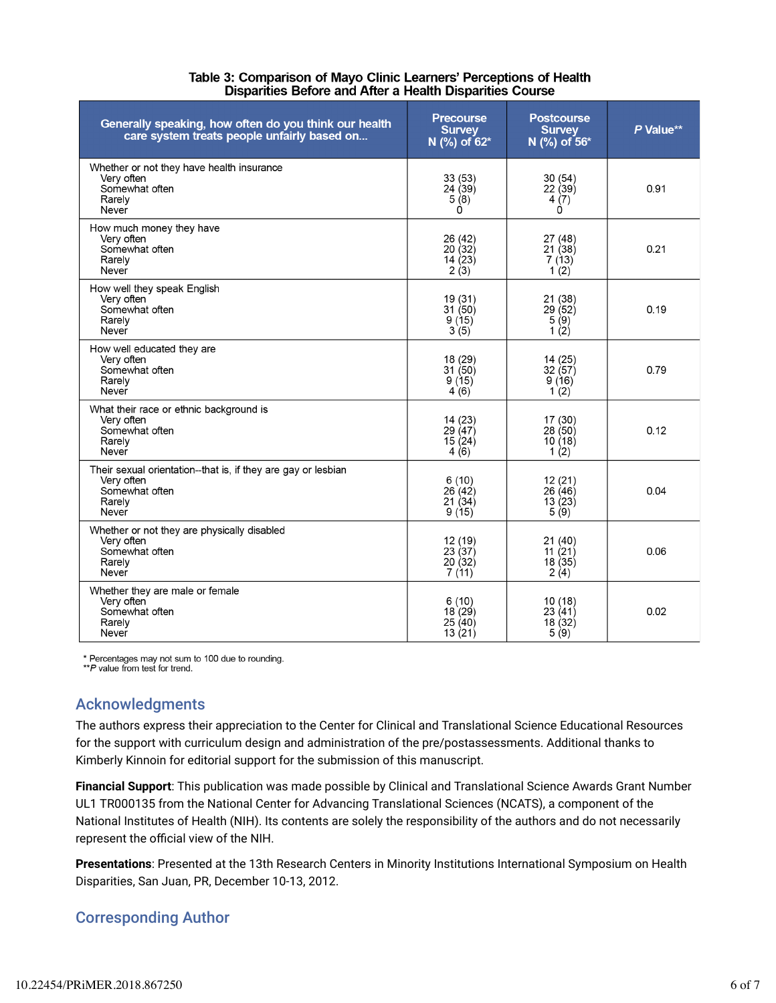| Table 3: Comparison of Mayo Clinic Learners' Perceptions of Health |
|--------------------------------------------------------------------|
| Disparities Before and After a Health Disparities Course           |

| Generally speaking, how often do you think our health<br>care system treats people unfairly based on             | <b>Precourse</b><br><b>Survey</b><br>N (%) of 62* | <b>Postcourse</b><br><b>Survey</b><br>N (%) of 56* | P Value** |
|------------------------------------------------------------------------------------------------------------------|---------------------------------------------------|----------------------------------------------------|-----------|
| Whether or not they have health insurance<br>Very often<br>Somewhat often<br>Rarely<br>Never                     | 33(53)<br>24(39)<br>5(8)<br>Ò                     | 30(54)<br>22(39)<br>4(7)<br>Ó                      | 0.91      |
| How much money they have<br>Very often<br>Somewhat often<br>Rarely<br>Never                                      | 26 (42)<br>20(32)<br>14 $(23)$<br>2(3)            | 27 (48)<br>21(38)<br>7(13)<br>1(2)                 | 0.21      |
| How well they speak English<br>Very often<br>Somewhat often<br>Rarely<br>Never                                   | 19 (31)<br>31(50)<br>9(15)<br>3(5)                | 21 (38)<br>29(52)<br>5(9)<br>1 $(2)$               | 0.19      |
| How well educated they are<br>Very often<br>Somewhat often<br>Rarely<br>Never                                    | 18 (29)<br>31(50)<br>9(15)<br>4(6)                | 14(25)<br>32(57)<br>9(16)<br>1 $(2)$               | 0.79      |
| What their race or ethnic background is<br>Very often<br>Somewhat often<br>Rarely<br>Never                       | 14 (23)<br>29(47)<br>15 $(24)$<br>4(6)            | 17 (30)<br>28(50)<br>10(18)<br>1 $(2)$             | 0.12      |
| Their sexual orientation--that is, if they are gay or lesbian<br>Very often<br>Somewhat often<br>Rarely<br>Never | 6(10)<br>26(42)<br>21(34)<br>9(15)                | 12(21)<br>26(46)<br>13(23)<br>5(9)                 | 0.04      |
| Whether or not they are physically disabled<br>Very often<br>Somewhat often<br>Rarely<br>Never                   | 12 (19)<br>23(37)<br>20(32)<br>7(11)              | 21(40)<br>11 $(21)$<br>18(35)<br>2(4)              | 0.06      |
| Whether they are male or female<br>Very often<br>Somewhat often<br>Rarely<br>Never                               | 6(10)<br>18(29)<br>25(40)<br>13(21)               | 10(18)<br>23(41)<br>18(32)<br>5(9)                 | 0.02      |

\* Percentages may not sum to 100 due to rounding.<br>\*\*P value from test for trend.

# Acknowledgments

The authors express their appreciation to the Center for Clinical and Translational Science Educational Resources for the support with curriculum design and administration of the pre/postassessments. Additional thanks to Kimberly Kinnoin for editorial support for the submission of this manuscript.

**Financial Support**: This publication was made possible by Clinical and Translational Science Awards Grant Number UL1 TR000135 from the National Center for Advancing Translational Sciences (NCATS), a component of the National Institutes of Health (NIH). Its contents are solely the responsibility of the authors and do not necessarily represent the official view of the NIH.

**Presentations**: Presented at the 13th Research Centers in Minority Institutions International Symposium on Health Disparities, San Juan, PR, December 10-13, 2012.

### Corresponding Author